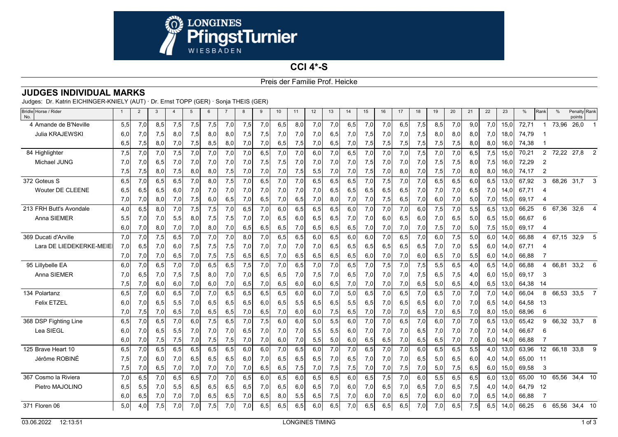

## **CCI 4\*-S**Preis der Familie Prof. Heicke

|  | <b>JUDGES INDIVIDUAL MARKS</b> |  |
|--|--------------------------------|--|
|--|--------------------------------|--|

Judges: Dr. Katrin EICHINGER-KNIELY (AUT) · Dr. Ernst TOPP (GER) · Sonja THEIS (GER)

| Bridle Horse / Rider<br>No. | $\mathbf{1}$ | $\overline{2}$ | 3    | $\overline{4}$ | 5   | 6   |     | 8   | 9   | 10  | 11  | 12  | 13  | 14  | 15  | 16  | 17  | 18  | 19  | 20  | 21  | 22   | 23   | %     | Rank           | $\%$  | Penalty Rank<br>points |                |
|-----------------------------|--------------|----------------|------|----------------|-----|-----|-----|-----|-----|-----|-----|-----|-----|-----|-----|-----|-----|-----|-----|-----|-----|------|------|-------|----------------|-------|------------------------|----------------|
| 4 Amande de B'Neville       | 5,5          | 7.0            | 8.5  | 7,5            | 7,5 | 7,5 | 7,0 | 7,5 | 7,0 | 6.5 | 8.0 | 7,0 | 7.0 | 6,5 | 7,0 | 7,0 | 6,5 | 7,5 | 8,5 | 7,0 | 9.0 | 7.0  | 15.0 | 72,71 |                | 73,96 | 26,0                   | $\overline{1}$ |
| Julia KRAJEWSKI             | 6,0          | 7,0            | 7,5  | 8,0            | 7,5 | 8,0 | 8,0 | 7,5 | 7,5 | 7,0 | 7,0 | 7,0 | 6,5 | 7,0 | 7,5 | 7,0 | 7,0 | 7,5 | 8,0 | 8,0 | 8,0 | 7,0  | 18,0 | 74,79 |                |       |                        |                |
|                             | 6,5          | 7,5            | 8,0  | 7,0            | 7,5 | 8,5 | 8,0 | 7,0 | 7,0 | 6,5 | 7,5 | 7,0 | 6,5 | 7,0 | 7,5 | 7,5 | 7,5 | 7,5 | 7,5 | 7,5 | 8,0 | 8,0  | 16,0 | 74,38 |                |       |                        |                |
| 84 Highlighter              | 7,5          | 7.0            | 7.0  | 7,5            | 7.0 | 7,0 | 7,0 | 7,0 | 6.5 | 7,0 | 7.0 | 6.0 | 7.0 | 6,5 | 7.0 | 7,0 | 7,0 | 7,5 | 7,0 | 7.0 | 6,5 | 7,5  | 15.0 | 70,21 |                |       | 2 72,22 27,8 2         |                |
| Michael JUNG                | 7,0          | 7,0            | 6,5  | 7,0            | 7,0 | 7,0 | 7,0 | 7,0 | 7,5 | 7,5 | 7,0 | 7,0 | 7.0 | 7,0 | 7,5 | 7,0 | 7,0 | 7,0 | 7,5 | 7,5 | 8,0 | 7,5  | 16.0 | 72,29 | $\overline{2}$ |       |                        |                |
|                             | 7,5          | 7,5            | 8,0  | 7,5            | 8,0 | 8,0 | 7,5 | 7,0 | 7,0 | 7,0 | 7,5 | 5,5 | 7,0 | 7,0 | 7,5 | 7,0 | 8,0 | 7,0 | 7,5 | 7,0 | 8,0 | 8,0  | 16,0 | 74,17 | $\overline{2}$ |       |                        |                |
| 372 Goteus S                | 6,5          | 7,0            | 6.5  | 6,5            | 7,0 | 8,0 | 7,5 | 7,0 | 6,5 | 7,0 | 7.0 | 6,5 | 6,5 | 6,5 | 7,0 | 7,5 | 7,0 | 7,0 | 6,5 | 6.5 | 6,0 | 6,5  | 13,0 | 67,92 | 3              | 68,26 | 31,7                   | 3              |
| <b>Wouter DE CLEENE</b>     | 6,5          | 6,5            | 6,5  | 6,0            | 7,0 | 7,0 | 7,0 | 7,0 | 7,0 | 7,0 | 7,0 | 7,0 | 6,5 | 6,5 | 6,5 | 6,5 | 6,5 | 7,0 | 7,0 | 7,0 | 6,5 | 7,0  | 14.0 | 67,71 |                |       |                        |                |
|                             | 7,0          | 7,0            | 8,0  | 7,0            | 7,5 | 6,0 | 6,5 | 7,0 | 6,5 | 7,0 | 6,5 | 7,0 | 8,0 | 7,0 | 7,0 | 7,5 | 6,5 | 7,0 | 6,0 | 7,0 | 5,0 | 7,0  | 15,0 | 69,17 |                |       |                        |                |
| 213 FRH Butt's Avondale     | 4.0          | 6.5            | 8.0  | 7,0            | 7,5 | 7,5 | 7,0 | 6.5 | 7,0 | 6,0 | 6.5 | 6,5 | 6.5 | 6,0 | 7.0 | 7,0 | 7,0 | 6,0 | 7,5 | 7,0 | 5,5 | 6,5  | 13.0 | 66,25 | 6              | 67.36 | 32,6                   | $\overline{4}$ |
| Anna SIEMER                 | 5,5          | 7,0            | 7,0  | 5,5            | 8,0 | 7,5 | 7,5 | 7,0 | 7,0 | 6,5 | 6,0 | 6,5 | 6,5 | 7,0 | 7,0 | 6,0 | 6,5 | 6,0 | 7,0 | 6,5 | 5,0 | 6,5  | 15,0 | 66,67 | 6              |       |                        |                |
|                             | 6,0          | 7,0            | 8,0  | 7,0            | 7,0 | 8,0 | 7,0 | 6,5 | 6,5 | 6,5 | 7,0 | 6,5 | 6,5 | 6,5 | 7,0 | 7,0 | 7,0 | 7,0 | 7,5 | 7,0 | 5,0 | 7,5  | 15,0 | 69,17 |                |       |                        |                |
| 369 Ducati d'Arville        | 7,0          | 7,0            | 7,5  | 6,5            | 7,0 | 7,0 | 7,0 | 8,0 | 7,0 | 6,5 | 6,5 | 6,0 | 6,5 | 6,0 | 6,0 | 7,0 | 6,5 | 7,0 | 6,0 | 7,5 | 5,0 | 6,0  | 14.0 | 66,88 |                | 67,15 | 32,9                   | - 5            |
| Lara DE LIEDEKERKE-MEIE     | 7.0          | 6.5            | 7.0  | 6.0            | 7,5 | 7,5 | 7,5 | 7,0 | 7.0 | 7,0 | 7.0 | 7,0 | 6.5 | 6,5 | 6,5 | 6,5 | 6,5 | 6,5 | 7,0 | 7,0 | 5.5 | 6.0  | 14.0 | 67.71 | 4              |       |                        |                |
|                             | 7,0          | 7,0            | 7,0  | 6,5            | 7,0 | 7,5 | 7,5 | 6,5 | 6,5 | 7,0 | 6,5 | 6,5 | 6,5 | 6,5 | 6,0 | 7,0 | 7,0 | 6,0 | 6,5 | 7,0 | 5,5 | 6,0  | 14,0 | 66,88 |                |       |                        |                |
| 95 Lillybelle EA            | 6.0          | 7,0            | 6,5  | 7,0            | 7,0 | 6,5 | 6,5 | 7,5 | 7,0 | 7,0 | 6,5 | 7,0 | 7,0 | 6,5 | 7,0 | 7,5 | 7,0 | 7,5 | 5,5 | 6,5 | 4,0 | 6,5  | 14.0 | 66,88 | 4              | 66,81 | 33,26                  |                |
| Anna SIEMER                 | 7.0          | 6,5            | 7,01 | 7,5            | 7,5 | 8,0 | 7,0 | 7,0 | 6,5 | 6,5 | 7,0 | 7,5 | 7,0 | 6,5 | 7,0 | 7,0 | 7,0 | 7,5 | 6,5 | 7,5 | 4,0 | 6,0  | 15,0 | 69,17 | 3              |       |                        |                |
|                             | 7,5          | 7,0            | 6,0  | 6,0            | 7,0 | 6,0 | 7,0 | 6,5 | 7,0 | 6,5 | 6,0 | 6,0 | 6,5 | 7,0 | 7,0 | 7,0 | 7,0 | 6,5 | 5,0 | 6,5 | 4,0 | 6,5  | 13,0 | 64,38 | -14            |       |                        |                |
| 134 Polartanz               | 6.5          | 7,0            | 6.0  | 6.5            | 7.0 | 7,0 | 6,5 | 6.5 | 6.5 | 6,5 | 6.0 | 6.0 | 7.0 | 5,0 | 6.5 | 7.0 | 6,5 | 7,0 | 6,5 | 7.0 | 7,0 | 7,0  | 14.0 | 66.04 | 8              | 66,53 | 33,5                   | $\overline{7}$ |
| <b>Felix ETZEL</b>          | 6.0          | 7,0            | 6,5  | 5,5            | 7.0 | 6,5 | 6,5 | 6,5 | 6,0 | 6,5 | 5,5 | 6,5 | 6.5 | 5,5 | 6,5 | 7,0 | 6,5 | 6,5 | 6,0 | 7,0 | 7,0 | 6,5I | 14.0 | 64,58 | -13            |       |                        |                |
|                             | 7,0          | 7,5            | 7,0  | 6,5            | 7,0 | 6,5 | 6,5 | 7,0 | 6,5 | 7,0 | 6,0 | 6,0 | 7,5 | 6,5 | 7,0 | 7,0 | 7,0 | 6,5 | 7,0 | 6,5 | 7,0 | 8,0  | 15,0 | 68,96 | 6              |       |                        |                |
| 368 DSP Fighting Line       | 6,5          | 7,0            | 6,5  | 7,0            | 6,0 | 7,5 | 6,5 | 7,0 | 7,5 | 6,0 | 6.0 | 5.0 | 5,5 | 6,0 | 7,0 | 7,0 | 6,5 | 7,0 | 6,0 | 7,0 | 7,0 | 6,5  | 13,0 | 65,42 | 9              | 66,32 | $33,7$ 8               |                |
| Lea SIEGL                   | 6,0          | 7,0            | 6,5  | 5,5            | 7,0 | 7,0 | 7,0 | 6,5 | 7,0 | 7,0 | 7,0 | 5,5 | 5,5 | 6,0 | 7,0 | 7,0 | 7,0 | 6,5 | 7,0 | 7,0 | 7,0 | 7,0  | 14.0 | 66,67 | 6              |       |                        |                |
|                             | 6,0          | 7,0            | 7,5  | 7,5            | 7,0 | 7,5 | 7,5 | 7,0 | 7,0 | 6,0 | 7,0 | 5,5 | 5,0 | 6,0 | 6,5 | 6,5 | 7,0 | 6,5 | 6,5 | 7,0 | 7,0 | 6,0  | 14,0 | 66,88 |                |       |                        |                |
| 125 Brave Heart 10          | 6.5          | 7,0            | 6.5  | 6.5            | 6,5 | 6,5 | 6,5 | 6.0 | 6,0 | 7,0 | 6.5 | 6.0 | 7.0 | 7,0 | 6.5 | 7,0 | 7,0 | 6,0 | 6,5 | 6,5 | 5,5 | 4,0  | 13.0 | 63,96 | 12             | 66,18 | $33,8$ 9               |                |
| Jérôme ROBINÉ               | 7,5          | 7,0            | 6,0  | 7,0            | 6,5 | 6,5 | 6,5 | 6,0 | 7,0 | 6,5 | 6,5 | 6,5 | 7,0 | 6,5 | 7,0 | 7,0 | 7,0 | 6,5 | 5,0 | 6,5 | 6,0 | 4,0  | 14,0 | 65,00 | 11             |       |                        |                |
|                             | 7,5          | 7,0            | 6,5  | 7,0            | 7,0 | 7,0 | 7,0 | 7,0 | 6,5 | 6,5 | 7,5 | 7,0 | 7,5 | 7,5 | 7,0 | 7,0 | 7,5 | 7,0 | 5,0 | 7,5 | 6,5 | 6,0  | 15,0 | 69,58 | 3              |       |                        |                |
| 367 Cosmo la Riviera        | 7,0          | 6,5            | 7,0  | 6,5            | 6,5 | 7,0 | 7,0 | 6,5 | 6,0 | 6,5 | 6,0 | 6,5 | 6,5 | 6,0 | 6,5 | 7,5 | 7,0 | 6,0 | 5,5 | 6,5 | 6,5 | 6,0  | 13,0 | 65,00 | 10             | 65,56 | 34,4 10                |                |
| Pietro MAJOLINO             | 6,5          | 5,5            | 7,0  | 5,5            | 6,5 | 6,5 | 6,5 | 6,5 | 7,0 | 6,5 | 6,0 | 6,5 | 7,0 | 6,0 | 7,0 | 6,5 | 7,0 | 6,5 | 7,0 | 6,5 | 7,5 | 4,0  | 14,0 | 64.79 | 12             |       |                        |                |
|                             | 6,0          | 6,5            | 7,0  | 7,0            | 7,0 | 6,5 | 6,5 | 7,0 | 6,5 | 8,0 | 5,5 | 6,5 | 7,5 | 7,0 | 6,0 | 7,0 | 6,5 | 7,0 | 6,0 | 6,0 | 7,0 | 6,5  | 14,0 | 66,88 |                |       |                        |                |
| 371 Floren 06               | 5,0          | 4,0            | 7,5  | 7,0            | 7,0 | 7,5 | 7,0 | 7,0 | 6,5 | 6,5 | 6,5 | 6,0 | 6,5 | 7,0 | 6,5 | 6,5 | 6,5 | 7,0 | 7,0 | 6,5 | 7,5 | 6,5  | 14,0 | 66,25 | 6              |       | 65,56 34,4 10          |                |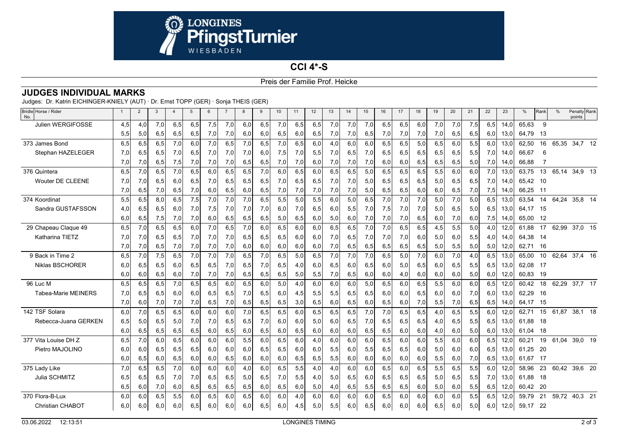

## **CCI 4\*-S**Preis der Familie Prof. Heicke

|  | <b>JUDGES INDIVIDUAL MARKS</b> |  |
|--|--------------------------------|--|
|--|--------------------------------|--|

Judges: Dr. Katrin EICHINGER-KNIELY (AUT) · Dr. Ernst TOPP (GER) · Sonja THEIS (GER)

| Bridle Horse / Rider<br>No. | -1  | $\overline{2}$ | 3   | $\overline{4}$ | 5   | 6   |     | 8    | 9   | 10  | 11  | 12  | 13  | 14  | 15  | 16  | 17  | 18  | 19  | 20  | 21  | 22  | 23   | %     | Rank | %     | Penalty Rank<br>points |  |
|-----------------------------|-----|----------------|-----|----------------|-----|-----|-----|------|-----|-----|-----|-----|-----|-----|-----|-----|-----|-----|-----|-----|-----|-----|------|-------|------|-------|------------------------|--|
| Julien WERGIFOSSE           | 4,5 | 4.0            | 7.0 | 6,5            | 6,5 | 7,5 | 7.0 | 6,0  | 6.5 | 7,0 | 6.5 | 6,5 | 7.0 | 7,0 | 7.0 | 6,5 | 6,5 | 6.0 | 7,0 | 7,0 | 7,5 | 6.5 | 14.0 | 65,63 | -9   |       |                        |  |
|                             | 5,5 | 5,0            | 6,5 | 6,5            | 6,5 | 7,0 | 7,0 | 6,0  | 6,0 | 6,5 | 6,0 | 6,5 | 7,0 | 7,0 | 6,5 | 7,0 | 7,0 | 7,0 | 7,0 | 6,5 | 6,5 | 6,0 | 13,0 | 64,79 | 13   |       |                        |  |
| 373 James Bond              | 6,5 | 6,5            | 6,5 | 7,0            | 6,0 | 7,0 | 6.5 | 7,0  | 6,5 | 7,0 | 6.5 | 6.0 | 4.0 | 6,0 | 6.0 | 6,5 | 6,5 | 5,0 | 6.5 | 6.0 | 5,5 | 6,0 | 13,0 | 62,50 | 16   | 65,35 | 34,7 12                |  |
| Stephan HAZELEGER           | 7.0 | 6,5            | 6,5 | 7,0            | 6,5 | 7,0 | 7,0 | 7,0  | 6,0 | 7,5 | 7,0 | 5,5 | 7,0 | 6,5 | 7,0 | 6,5 | 6,5 | 6,5 | 6,5 | 6,5 | 5,5 | 7,0 | 14.0 | 66,67 | 6    |       |                        |  |
|                             | 7,0 | 7,0            | 6,5 | 7,5            | 7,0 | 7,0 | 7,0 | 6,5  | 6,5 | 7,0 | 7,0 | 6,0 | 7,0 | 7,0 | 7,0 | 6,0 | 6,0 | 6,5 | 6,5 | 6,5 | 5,0 | 7,0 | 14.0 | 66,88 |      |       |                        |  |
| 376 Quintera                | 6,5 | 7,0            | 6,5 | 7,0            | 6,5 | 6,0 | 6,5 | 6,5  | 7.0 | 6,0 | 6,5 | 6.0 | 6,5 | 6,5 | 5,0 | 6,5 | 6,5 | 6,5 | 5,5 | 6.0 | 6,0 | 7,0 | 13,0 | 63,75 | 13   | 65,14 | 34,9 13                |  |
| <b>Wouter DE CLEENE</b>     | 7.0 | 7,0            | 6,5 | 6.0            | 6,5 | 7,0 | 6.5 | 6,5  | 6,5 | 7,0 | 6.5 | 6,5 | 7,0 | 7,0 | 5,0 | 6,5 | 6,5 | 6,5 | 5,0 | 6.5 | 6,5 | 7,0 | 14.0 | 65,42 | - 10 |       |                        |  |
|                             | 7,0 | 6,5            | 7,0 | 6,5            | 7,0 | 6,0 | 6,5 | 6,0  | 6,5 | 7,0 | 7,0 | 7,0 | 7,0 | 7,0 | 5,0 | 6,5 | 6,5 | 6,0 | 6,0 | 6,5 | 7,0 | 7,5 | 14,0 | 66,25 | 11   |       |                        |  |
| 374 Koordinat               | 5,5 | 6,5            | 8.0 | 6,5            | 7,5 | 7,0 | 7,0 | 7,0  | 6.5 | 5,5 | 5.0 | 5,5 | 6.0 | 5,0 | 6.5 | 7,0 | 7,0 | 7,0 | 5.0 | 7,0 | 5,0 | 6,5 | 13.0 | 63,54 | 14   | 64.24 | 35,8 14                |  |
| Sandra GUSTAFSSON           | 4,0 | 6,5            | 6,5 | 6,0            | 7,0 | 7,5 | 7,0 | 7,0  | 7,0 | 6,0 | 7,0 | 6,5 | 6,0 | 5,5 | 7,0 | 7,5 | 7,0 | 7,0 | 5,0 | 6,5 | 5,0 | 6,5 | 13,0 | 64,17 | - 15 |       |                        |  |
|                             | 6,0 | 6,5            | 7,5 | 7,0            | 7,0 | 6,0 | 6,5 | 6,5  | 6,5 | 5,0 | 6,5 | 6,0 | 5,0 | 6,0 | 7,0 | 7,0 | 7,0 | 6,5 | 6,0 | 7,0 | 6,0 | 7,5 | 14,0 | 65,00 | 12   |       |                        |  |
| 29 Chapeau Claque 49        | 6,5 | 7,0            | 6,5 | 6,5            | 6.0 | 7,0 | 6.5 | 7,0  | 6,0 | 6,5 | 6.0 | 6,0 | 6,5 | 6,5 | 7,0 | 7,0 | 6,5 | 6,5 | 4,5 | 5,5 | 5,0 | 4,0 | 12,0 | 61,88 | 17   | 62,99 | 37,0 15                |  |
| Katharina TIETZ             | 7.0 | 7,0            | 6,5 | 6,5            | 7,0 | 7,0 | 7,0 | 6,5  | 6,5 | 6,5 | 6,0 | 6.0 | 7,0 | 6,5 | 7,0 | 7,0 | 7,0 | 6,0 | 5,0 | 6.0 | 5,5 | 4,0 | 14.0 | 64,38 | -14  |       |                        |  |
|                             | 7,0 | 7,0            | 6,5 | 7,0            | 7,0 | 7,0 | 7,0 | 6,0  | 6,0 | 6,0 | 6,0 | 6,0 | 7,0 | 6,5 | 6,5 | 6,5 | 6,5 | 6,5 | 5,0 | 5,5 | 5,0 | 5,0 | 12,0 | 62,71 | -16  |       |                        |  |
| 9 Back in Time 2            | 6,5 | 7,0            | 7,5 | 6,5            | 7.0 | 7,0 | 7.0 | 6,5  | 7.0 | 6,5 | 5,0 | 6,5 | 7,0 | 7,0 | 7,0 | 6,5 | 5,0 | 7,0 | 6.0 | 7.0 | 4,0 | 6,5 | 13.0 | 65,00 | 10   | 62,64 | 37,4 16                |  |
| Niklas BSCHORER             | 6,0 | 6,5            | 6,5 | 6,0            | 6,5 | 6,5 | 7,0 | 6,5  | 7,0 | 6,5 | 4,0 | 6,0 | 6,5 | 6,0 | 6,5 | 6,0 | 5,0 | 6,5 | 6,0 | 6,5 | 5,5 | 6,5 | 13,0 | 62,08 | - 17 |       |                        |  |
|                             | 6,0 | 6,0            | 6,5 | 6,0            | 7,0 | 7,0 | 7,0 | 6,5  | 6,5 | 6,5 | 5,0 | 5,5 | 7,0 | 6,5 | 6,0 | 6,0 | 4,0 | 6,0 | 6,0 | 6,0 | 5,0 | 6,0 | 12,0 | 60,83 | -19  |       |                        |  |
| 96 Luc M                    | 6,5 | 6,5            | 6,5 | 7,0            | 6,5 | 6,5 | 6.0 | 6, 5 | 6,0 | 5,0 | 4.0 | 6.0 | 6.0 | 6,0 | 5,0 | 6,5 | 6,0 | 6,5 | 5,5 | 6.0 | 6,0 | 6,5 | 12,0 | 60,42 | 18   | 62,29 | 37,7 17                |  |
| <b>Tabea-Marie MEINERS</b>  | 7.0 | 6.5            | 6,5 | 6.0            | 6.0 | 6.5 | 6.5 | 7,0  | 6.5 | 6.0 | 4,5 | 5,5 | 5,5 | 6,5 | 6,5 | 6,0 | 6,0 | 6,5 | 6.0 | 6.0 | 7.0 | 6.0 | 13.0 | 62,29 | -16  |       |                        |  |
|                             | 7,0 | 6,0            | 7,0 | 7,0            | 7,0 | 6,5 | 7,0 | 6,5  | 6,5 | 6,5 | 3,0 | 6,5 | 6,0 | 6,5 | 6,0 | 6,5 | 6,0 | 7,0 | 5,5 | 7,0 | 6,5 | 6,5 | 14,0 | 64,17 | -15  |       |                        |  |
| 142 TSF Solara              | 6.0 | 7,0            | 6,5 | 6,5            | 6.0 | 6,0 | 6.0 | 7,0  | 6,5 | 6,5 | 6.0 | 6,5 | 6,5 | 6,5 | 7,0 | 7,0 | 6,5 | 6,5 | 4,0 | 6,5 | 5,5 | 6,0 | 12,0 | 62,71 | 15   | 61.87 | 38,1 18                |  |
| Rebecca-Juana GERKEN        | 6,5 | 5,0            | 6.5 | 5,0            | 7,0 | 7,0 | 6.5 | 6,5  | 7.0 | 6,0 | 6.0 | 5,0 | 6,0 | 6,5 | 7,0 | 6,5 | 6,5 | 6,5 | 4,0 | 6,5 | 5,5 | 6,5 | 13,0 | 61,88 | - 18 |       |                        |  |
|                             | 6,0 | 6,5            | 6,5 | 6,5            | 6,5 | 6,0 | 6,5 | 6,0  | 6,5 | 6,0 | 6,5 | 6,0 | 6,0 | 6,0 | 6,5 | 6,5 | 6,0 | 6,0 | 4,0 | 6,0 | 5,0 | 6,0 | 13,0 | 61.04 | - 18 |       |                        |  |
| 377 Vita Louise DH Z        | 6,5 | 7,0            | 6.0 | 6,5            | 6.0 | 6,0 | 6.0 | 5,5  | 6,0 | 6,5 | 6.0 | 4.0 | 6,0 | 6,0 | 6,0 | 6,5 | 6,0 | 6,0 | 5.5 | 6.0 | 6,0 | 6,5 | 12,0 | 60,21 | 19   | 61.04 | 39.0 19                |  |
| Pietro MAJOLINO             | 6.0 | 6,0            | 6,5 | 6,5            | 6,5 | 6,0 | 6.0 | 6,0  | 6,5 | 6,5 | 6.0 | 6.0 | 5,5 | 6,0 | 5,5 | 6,5 | 6,5 | 6,0 | 5,0 | 6.0 | 6,0 | 6,5 | 13.0 | 61,25 | -20  |       |                        |  |
|                             | 6.0 | 6,5            | 6,0 | 6,5            | 6,0 | 6,0 | 6,5 | 6,0  | 6,0 | 6,0 | 6,5 | 6,5 | 5,5 | 6,0 | 6,0 | 6,0 | 6,0 | 6,0 | 5,5 | 6,0 | 7,0 | 6,5 | 13,0 | 61,67 | -17  |       |                        |  |
| 375 Lady Like               | 7.0 | 6,5            | 6,5 | 7,0            | 6.0 | 6,0 | 6,0 | 4,0  | 6.0 | 6,5 | 5,5 | 4.0 | 4.0 | 6,0 | 6.0 | 6,5 | 6,0 | 6,5 | 5,5 | 6.5 | 5,5 | 6.0 | 12,0 | 58.96 | 23   | 60.42 | 39,6 20                |  |
| Julia SCHMITZ               | 6,5 | 6,5            | 6,5 | 7,0            | 7,0 | 6,5 | 6,5 | 5,0  | 6,5 | 7,0 | 5,5 | 4,0 | 5,0 | 6,5 | 6,0 | 6,5 | 6,5 | 6,5 | 5,0 | 6,5 | 5,5 | 7,0 | 13,0 | 61,88 | -18  |       |                        |  |
|                             | 6,5 | 6,0            | 7,0 | 6,0            | 6,5 | 6,5 | 6,5 | 6,5  | 6,0 | 6,5 | 6,0 | 5,0 | 4,0 | 6,5 | 5,5 | 6,5 | 6,5 | 6,0 | 5,0 | 6,0 | 5,5 | 6,5 | 12,0 | 60,42 | -20  |       |                        |  |
| 370 Flora-B-Lux             | 6,0 | 6,0            | 6,5 | 5,5            | 6,0 | 6,5 | 6.0 | 6, 5 | 6,0 | 6,0 | 4.0 | 6,0 | 6,0 | 6,0 | 6,0 | 6,5 | 6,0 | 6,0 | 6,0 | 6,0 | 5,5 | 6,5 | 12,0 | 59,79 | 21   | 59,72 | 40,3 21                |  |
| <b>Christian CHABOT</b>     | 6.0 | 6.0            | 6.0 | 6,0            | 6,5 | 6,0 | 6.0 | 6,0  | 6,5 | 6,0 | 4,5 | 5,0 | 5,5 | 6,0 | 6,5 | 6,0 | 6,0 | 6,0 | 6.5 | 6,0 | 5,0 | 6,0 | 12,0 | 59,17 | -22  |       |                        |  |